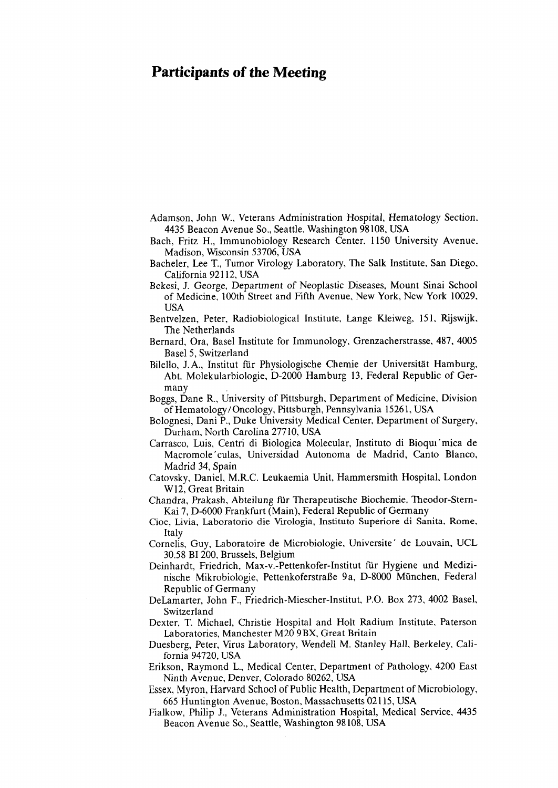## **Participants of the Meeting**

Adamson, John W., Veterans Administration Hospital, Hematology Section. 4435 Beacon Avenue So., Seattle, Washington 98108, USA

Bach, Fritz H., Immunobiology Research Center, 1150 University Avenue. Madison, Wisconsin 53706, USA

- Bacheler, Lee T., Tumor Virology Laboratory, The Salk Institute. San Diego. California 92112, USA
- Bekesi, J. George, Department of Neoplastic Diseases, Mount Sinai School of Medicine, 100th Street and Fifth Avenue. New York, New York 10029, USA
- Bentvelzen, Peter, Radiobiological Institute, Lange Kleiweg, 151. Rijswijk. The Netherlands
- Bernard, Ora, Basel Institute for Immunology, Grenzacherstrasse, 487, 4005 Basel 5, Switzerland
- Bilello, J.A., Institut für Physiologische Chemie der Universität Hamburg, Abt. Molekularbiologie, D-2000 Hamburg 13, Federal Republic of Germany
- Boggs, Dane R., University of Pittsburgh. Department of Medicine. Division of Hematology/Oncology, Pittsburgh, Pennsylvania 1526 1, USA
- Bolognesi, Dani P., Duke University Medical Center, Department of Surgery, Durham, North Carolina 277 10, USA
- Carrasco, Luis, Centri di Biologica Molecular, Instituto di Bioqui'mica de Macromole'culas, Universidad Autonoma de Madrid, Canto Blanco, Madrid 34, Spain
- Catovsky, Daniel, M.R.C. Leukaemia Unit, Hammersmith Hospital, London W 12, Great Britain
- Chandra, Prakash, Abteilung für Therapeutische Biochemie, Theodor-Stern-Kai 7, D-6000 Frankfurt (Main), Federal Republic of Germany
- Cioe, Livia, Laboratorio die Virologia, Instituto Superiore di Sanita, Rome, Italy
- Cornelis, Guy, Laboratoire de Microbiologie, Universite' de Louvain, UCL 30.58 BI 200, Brussels, Belgium
- Deinhardt, Friedrich, **Max-V.-Pettenkofer-Institut** für Hygiene und Medizinische Mikrobiologie, Pettenkoferstraße 9a, D-8000 München, Federal Republic of Germany
- DeLamarter, John F., Friedrich-Miescher-Institut, P.O. Box 273, 4002 Basel, Switzerland
- Dexter, T. Michael, Christie Hospital and Holt Radium Institute, Paterson Laboratories, Manchester M20 9BX, Great Britain
- Duesberg, Peter, Virus Laboratory, Wendel1 M. Stanley Hall, Berkeley. California 94720, USA
- Erikson, Raymond L., Medical Center, Department of Pathology, 4200 East Ninth Avenue, Denver, Colorado 80262, USA
- Essex, Myron, Harvard School of Public Health, Department of Microbiology, 665 Huntington Avenue, Boston, Massachusetts 021 15, USA
- Fialkow, Philip J., Veterans Administration Hospital, Medical Service, 4435 Beacon Avenue So., Seattle, Washington 98 108, USA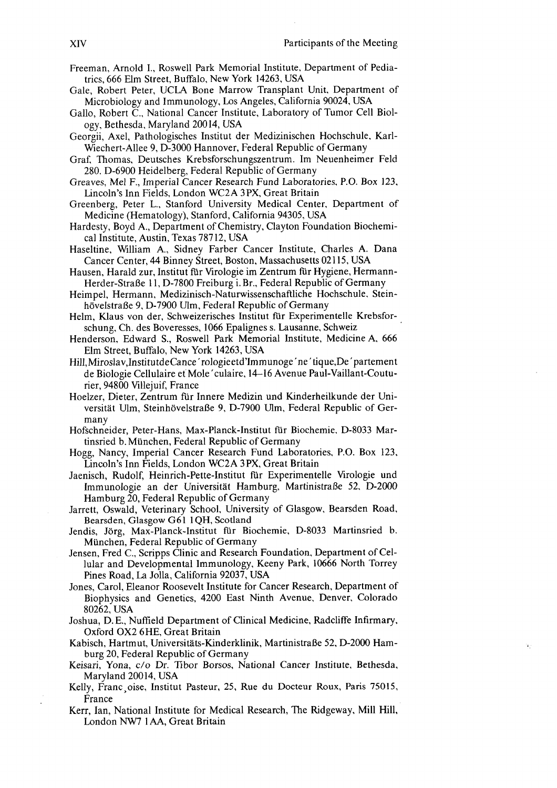- Freeman, Arnold I., Roswell Park Memorial Institute, Department of Pediatrics, 666 Elm Street, Buffalo, New York 14263, USA
- Gale, Robert Peter, UCLA Bone Marrow Transplant Unit, Department of Microbiology and Immunology, Los Angeles, California 90024, USA
- Gallo, Robert C., National Cancer Institute, Laboratory of Tumor Cell Biology, Bethesda, Maryland 20014, USA
- Georgii, Axel, Pathologisches Institut der Medizinischen Hochschule, Karl-Wiechert-Allee 9, D-3000 Hannover, Federal Republic of Germany
- Graf, Thomas, Deutsches Krebsforschungszentrum. Im Neuenheimer Feld 280. D-6900 Heidelberg, Federal Republic of Germany
- Greaves, Mel F., Imperial Cancer Research Fund Laboratories, P.O. Box 123, Lincoln's Inn Fields, London WC2A 3PX, Great Britain
- Greenberg, Peter L., Stanford University Medical Center, Department of Medicine (Hematology), Stanford, California 94305, USA
- Hardesty, Boyd A., Department of Chemistry, Clayton Foundation Biochemical Institute, Austin, Texas 78712, USA
- Haseltine, William A., Sidney Farber Cancer Institute, Charles A. Dana Cancer Center, 44 Binney Street, Boston, Massachusetts 02115, USA
- Hausen, Harald zur, Institut für Virologie im Zentrum für Hygiene, Hermann-Herder-Straße 11, D-7800 Freiburg i. Br., Federal Republic of Germany
- Heimpel, Hermann, Medizinisch-Naturwissenschaftliche Hochschule, Steinhövelstraße 9, D-7900 Ulm, Federal Republic of Germany
- Helm, Klaus von der, Schweizerisches Institut für Experimentelle Krebsforschung, Ch. des Boveresses, 1066 Epalignes s. Lausanne, Schweiz
- Henderson, Edward S., Roswell Park Memorial Institute, Medicine A, 666 Elm Street, Buffalo, New York 14263, USA
- Hill, Miroslav, Institutde Cance' rologieetd'Immunoge' ne' tique, De' partement de Biologie Cellulaire et Mole 'culaire, 14–16 Avenue Paul-Vaillant-Couturier, 94800 Villejuif, France
- Hoelzer, Dieter, Zentrum für Innere Medizin und Kinderheilkunde der Universität Ulm, Steinhövelstraße 9, D-7900 Ulm, Federal Republic of Germany
- Hofschneider, Peter-Hans, Max-Planck-Institut für Biochemie, D-8033 Martinsried b. München, Federal Republic of Germany
- Hogg, Nancy, Imperial Cancer Research Fund Laboratories, P.O. Box 123, Lincoln's Inn Fields, London WC2A 3PX, Great Britain
- Jaenisch, Rudolf, Heinrich-Pette-Institut für Experimentelle Virologie und Immunologie an der Universität Hamburg, Martinistraße 52, D-2000 Hamburg 20, Federal Republic of Germany
- Jarrett, Oswald, Veterinary School, University of Glasgow, Bearsden Road, Bearsden, Glasgow G61 1QH, Scotland
- Jendis, Jörg, Max-Planck-Institut für Biochemie, D-8033 Martinsried b. München, Federal Republic of Germany
- Jensen, Fred C., Scripps Clinic and Research Foundation, Department of Cellular and Developmental Immunology, Keeny Park, 10666 North Torrey Pines Road, La Jolla, California 92037, USA
- Jones, Carol, Eleanor Roosevelt Institute for Cancer Research, Department of Biophysics and Genetics, 4200 East Ninth Avenue, Denver, Colorado 80262, USA
- Joshua, D.E., Nuffield Department of Clinical Medicine, Radcliffe Infirmary, Oxford OX2 6HE, Great Britain
- Kabisch, Hartmut, Universitäts-Kinderklinik, Martinistraße 52, D-2000 Hamburg 20, Federal Republic of Germany
- Keisari, Yona, c/o Dr. Tibor Borsos, National Cancer Institute, Bethesda, Maryland 20014, USA
- Kelly, Franc oise, Institut Pasteur, 25, Rue du Docteur Roux, Paris 75015, France
- Kerr, Ian, National Institute for Medical Research, The Ridgeway, Mill Hill, London NW7 1AA, Great Britain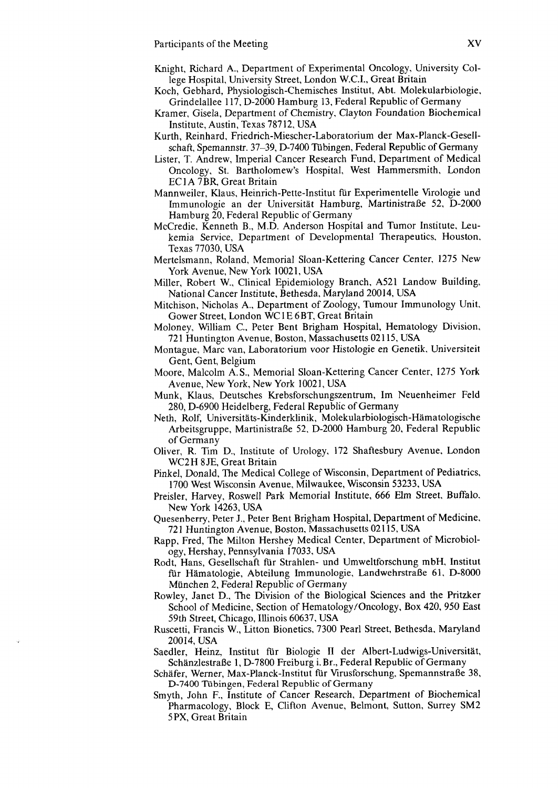- Knight, Richard A., Department of Experimental Oncology, University College Hospital, University Street, London W.C.I., Great Britain
- Koch, Gebhard, Physiologisch-Chemisches Institut, Abt. Molekularbiologie. Grindelallee 117, D-2000 Hamburg 13, Federal Republic of Germany
- Kramer, Gisela, Department of Chemistry, Clayton Foundation Biochemical Institute, Austin, Texas 78712, USA
- Kurth, Reinhard, Friedrich-Miescher-Laboratorium der Max-Planck-Gesellschaft, Spemannstr. 37-39, D-7400 Tübingen, Federal Republic of Germany
- Lister, T. Andrew, Imperial Cancer Research Fund, Department of Medical Oncology, St. Bartholomew's Hospital, West Hammersmith, London EC 1 **A** 7BR Great Britain
- Mannweiler, Klaus, Heinrich-Pette-Institut für Experimentelle Virologie und Immunologie an der Universität Hamburg, Martinistraße 52, D-2000 Hamburg 20, Federal Republic of Germany
- McCredie, Kenneth B., M.D. Anderson Hospital and Tumor Institute, Leukemia Service, Department of Developmental Therapeutics, Houston, Texas 77030, USA
- Mertelsmann, Roland, Memorial Sloan-Kettering Cancer Center, 1275 New York Avenue, New York 1002 1, USA
- Miller, Robert W., Clinical Epidemiology Branch, A521 Landow Building, National Cancer Institute, Bethesda, Maryland 20014, USA
- Mitchison, Nicholas A., Department of Zoology, Tumour Immunology Unit, Gower Street, London WC **1** E 6BT, Great Britain
- Moloney, William C., Peter Bent Brigham Hospital, Hematology Division. 721 Huntington Avenue, Boston, Massachusetts 021 15, USA
- Montague, Marc van, Laboratorium voor Histologie en Genetik, Universiteit Gent, Gent, Belgium
- Moore, Malcolm A. S., Memorial Sloan-Kettering Cancer Center, 1275 York Avenue, New York, New York 1002 1, USA
- Munk, Klaus, Deutsches Krebsforschungszentrum, Im Neuenheimer Feld 280, D-6900 Heidelberg, Federal Republic of Germany
- Neth, Rolf, Universitäts-Kinderklinik, Molekularbiologisch-Hämatologische Arbeitsgruppe, Martinistraße 52, D-2000 Hamburg 20, Federal Republic of Germany
- Oliver, R. Tim D., Institute of Urology, 172 Shaftesbury Avenue, London WC2H 8JE, Great Britain
- Pinkel, Donald, The Medical College of Wisconsin, Department of Pediatrics, 1700 West Wisconsin Avenue, Milwaukee, Wisconsin 53233, USA
- Preisler, Harvey, Roswell Park Memorial Institute, 666 Elm Street, Buffalo. New York 14263, USA
- Quesenberry, Peter J., Peter Bent Brigham Hospital, Department of Medicine. 72 1 Huntington Avenue, Boston, Massachusetts 021 15, USA
- Rapp, Fred, The Milton Hershey Medical Center, Department of Microbiology, Hershay, Pennsylvania 17033, USA
- Rodt, Hans, Gesellschaft für Strahlen- und Umweltforschung mbH, Institut für Hämatologie, Abteilung Immunologie, Landwehrstraße 61, D-8000 München 2, Federal Republic of Germany
- Rowley, Janet D., The Division of the Biological Sciences and the Pritzker School of Medicine, Section of Hematology/Oncology, Box 420, 950 East 59th Street, Chicago, Iilinois 60637, USA
- Ruscetti, Francis W., Litton Bionetics, 7300 Pearl Street, Bethesda, Maryland 200 14, USA
- Saedler, Heinz, Institut für Biologie I1 der Albert-Ludwigs-Universität, Schänzlestraße 1, D-7800 Freiburg i. Br., Federal Republic of Germany
- Schäfer, Werner, Max-Planck-Institut für Virusforschung, Spemannstraße 38, D-7400 Tübingen, Federal Republic of Germany
- Smyth, John F., Institute of Cancer Research, Department of Biochemical Pharmacology, Block E, Clifton Avenue, Belmont, Sutton, Surrey SM2 5 PX, Great Britain